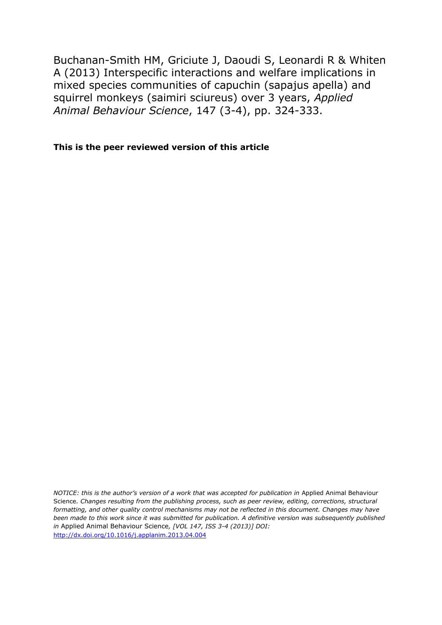Buchanan-Smith HM, Griciute J, Daoudi S, Leonardi R & Whiten A (2013) Interspecific interactions and welfare implications in mixed species communities of capuchin (sapajus apella) and squirrel monkeys (saimiri sciureus) over 3 years, *Applied Animal Behaviour Science*, 147 (3-4), pp. 324-333.

**This is the peer reviewed version of this article**

*NOTICE: this is the author's version of a work that was accepted for publication in Applied Animal Behaviour* Science*. Changes resulting from the publishing process, such as peer review, editing, corrections, structural formatting, and other quality control mechanisms may not be reflected in this document. Changes may have been made to this work since it was submitted for publication. A definitive version was subsequently published in* Applied Animal Behaviour Science*, [VOL 147, ISS 3-4 (2013)] DOI:* <http://dx.doi.org/10.1016/j.applanim.2013.04.004>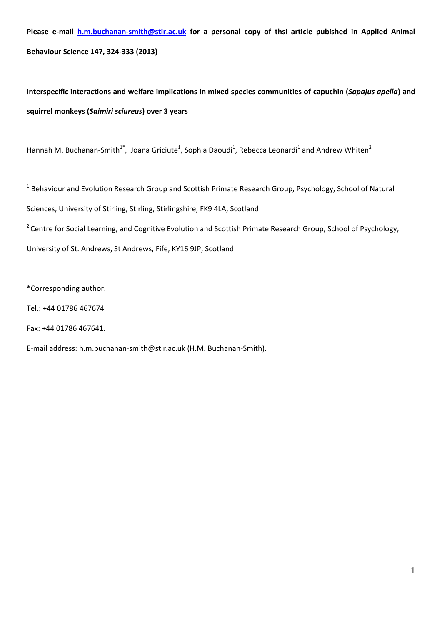**Please e-mail [h.m.buchanan-smith@stir.ac.uk](mailto:h.m.buchanan-smith@stir.ac.uk) for a personal copy of thsi article pubished in Applied Animal Behaviour Science 147, 324-333 (2013)**

**Interspecific interactions and welfare implications in mixed species communities of capuchin (***Sapajus apella***) and squirrel monkeys (***Saimiri sciureus***) over 3 years**

Hannah M. Buchanan-Smith<sup>1\*</sup>, Joana Griciute<sup>1</sup>, Sophia Daoudi<sup>1</sup>, Rebecca Leonardi<sup>1</sup> and Andrew Whiten<sup>2</sup>

<sup>1</sup> Behaviour and Evolution Research Group and Scottish Primate Research Group, Psychology, School of Natural Sciences, University of Stirling, Stirling, Stirlingshire, FK9 4LA, Scotland <sup>2</sup> Centre for Social Learning, and Cognitive Evolution and Scottish Primate Research Group, School of Psychology, University of St. Andrews, St Andrews, Fife, KY16 9JP, Scotland

\*Corresponding author.

Tel.: +44 01786 467674

Fax: +44 01786 467641.

E-mail address[: h.m.buchanan-smith@stir.ac.uk](mailto:h.m.buchanan-smith@stir.ac.uk) (H.M. Buchanan-Smith).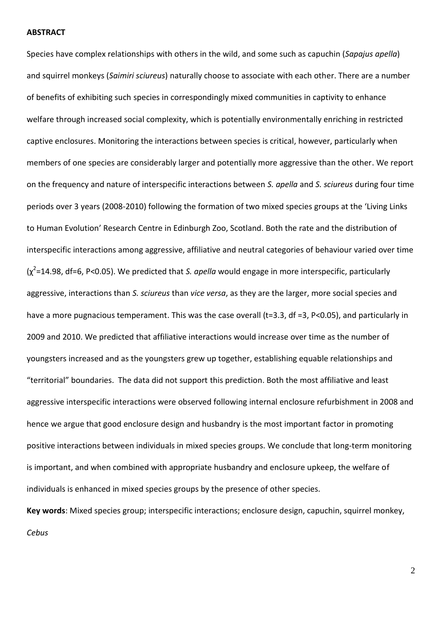#### **ABSTRACT**

Species have complex relationships with others in the wild, and some such as capuchin (*Sapajus apella*) and squirrel monkeys (*Saimiri sciureus*) naturally choose to associate with each other. There are a number of benefits of exhibiting such species in correspondingly mixed communities in captivity to enhance welfare through increased social complexity, which is potentially environmentally enriching in restricted captive enclosures. Monitoring the interactions between species is critical, however, particularly when members of one species are considerably larger and potentially more aggressive than the other. We report on the frequency and nature of interspecific interactions between *S. apella* and *S. sciureus* during four time periods over 3 years (2008-2010) following the formation of two mixed species groups at the 'Living Links to Human Evolution' Research Centre in Edinburgh Zoo, Scotland. Both the rate and the distribution of interspecific interactions among aggressive, affiliative and neutral categories of behaviour varied over time (χ 2 =14.98, df=6, P<0.05). We predicted that *S. apella* would engage in more interspecific, particularly aggressive, interactions than *S. sciureus* than *vice versa*, as they are the larger, more social species and have a more pugnacious temperament. This was the case overall (t=3.3, df =3, P<0.05), and particularly in 2009 and 2010. We predicted that affiliative interactions would increase over time as the number of youngsters increased and as the youngsters grew up together, establishing equable relationships and "territorial" boundaries. The data did not support this prediction. Both the most affiliative and least aggressive interspecific interactions were observed following internal enclosure refurbishment in 2008 and hence we argue that good enclosure design and husbandry is the most important factor in promoting positive interactions between individuals in mixed species groups. We conclude that long-term monitoring is important, and when combined with appropriate husbandry and enclosure upkeep, the welfare of individuals is enhanced in mixed species groups by the presence of other species. **Key words**: Mixed species group; interspecific interactions; enclosure design, capuchin, squirrel monkey,

*Cebus*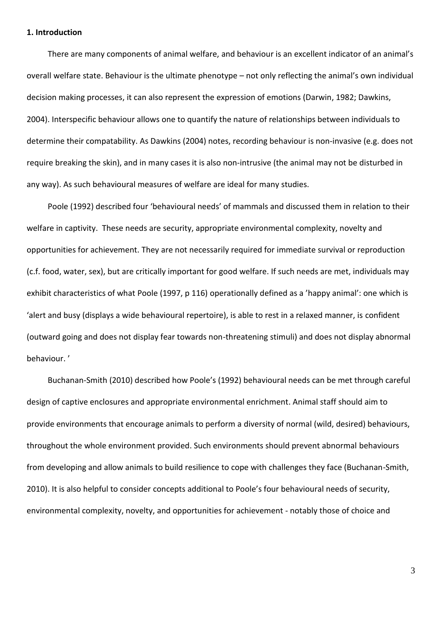#### **1. Introduction**

There are many components of animal welfare, and behaviour is an excellent indicator of an animal's overall welfare state. Behaviour is the ultimate phenotype – not only reflecting the animal's own individual decision making processes, it can also represent the expression of emotions (Darwin, 1982; Dawkins, 2004). Interspecific behaviour allows one to quantify the nature of relationships between individuals to determine their compatability. As Dawkins (2004) notes, recording behaviour is non-invasive (e.g. does not require breaking the skin), and in many cases it is also non-intrusive (the animal may not be disturbed in any way). As such behavioural measures of welfare are ideal for many studies.

Poole (1992) described four 'behavioural needs' of mammals and discussed them in relation to their welfare in captivity. These needs are security, appropriate environmental complexity, novelty and opportunities for achievement. They are not necessarily required for immediate survival or reproduction (c.f. food, water, sex), but are critically important for good welfare. If such needs are met, individuals may exhibit characteristics of what Poole (1997, p 116) operationally defined as a 'happy animal': one which is 'alert and busy (displays a wide behavioural repertoire), is able to rest in a relaxed manner, is confident (outward going and does not display fear towards non-threatening stimuli) and does not display abnormal behaviour. '

Buchanan-Smith (2010) described how Poole's (1992) behavioural needs can be met through careful design of captive enclosures and appropriate environmental enrichment. Animal staff should aim to provide environments that encourage animals to perform a diversity of normal (wild, desired) behaviours, throughout the whole environment provided. Such environments should prevent abnormal behaviours from developing and allow animals to build resilience to cope with challenges they face (Buchanan-Smith, 2010). It is also helpful to consider concepts additional to Poole's four behavioural needs of security, environmental complexity, novelty, and opportunities for achievement - notably those of choice and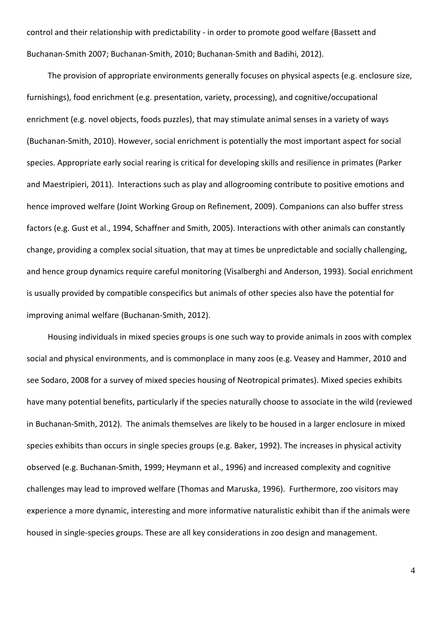control and their relationship with predictability - in order to promote good welfare (Bassett and Buchanan-Smith 2007; Buchanan-Smith, 2010; Buchanan-Smith and Badihi, 2012).

The provision of appropriate environments generally focuses on physical aspects (e.g. enclosure size, furnishings), food enrichment (e.g. presentation, variety, processing), and cognitive/occupational enrichment (e.g. novel objects, foods puzzles), that may stimulate animal senses in a variety of ways (Buchanan-Smith, 2010). However, social enrichment is potentially the most important aspect for social species. Appropriate early social rearing is critical for developing skills and resilience in primates (Parker and Maestripieri, 2011). Interactions such as play and allogrooming contribute to positive emotions and hence improved welfare (Joint Working Group on Refinement, 2009). Companions can also buffer stress factors (e.g. Gust et al., 1994, Schaffner and Smith, 2005). Interactions with other animals can constantly change, providing a complex social situation, that may at times be unpredictable and socially challenging, and hence group dynamics require careful monitoring (Visalberghi and Anderson, 1993). Social enrichment is usually provided by compatible conspecifics but animals of other species also have the potential for improving animal welfare (Buchanan-Smith, 2012).

Housing individuals in mixed species groups is one such way to provide animals in zoos with complex social and physical environments, and is commonplace in many zoos (e.g. Veasey and Hammer, 2010 and see Sodaro, 2008 for a survey of mixed species housing of Neotropical primates). Mixed species exhibits have many potential benefits, particularly if the species naturally choose to associate in the wild (reviewed in Buchanan-Smith, 2012). The animals themselves are likely to be housed in a larger enclosure in mixed species exhibits than occurs in single species groups (e.g. Baker, 1992). The increases in physical activity observed (e.g. Buchanan-Smith, 1999; Heymann et al., 1996) and increased complexity and cognitive challenges may lead to improved welfare (Thomas and Maruska, 1996). Furthermore, zoo visitors may experience a more dynamic, interesting and more informative naturalistic exhibit than if the animals were housed in single-species groups. These are all key considerations in zoo design and management.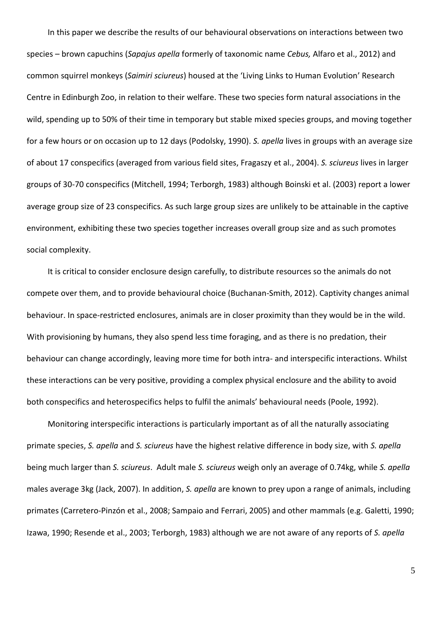In this paper we describe the results of our behavioural observations on interactions between two species – brown capuchins (*Sapajus apella* formerly of taxonomic name *Cebus,* Alfaro et al., 2012) and common squirrel monkeys (*Saimiri sciureus*) housed at the 'Living Links to Human Evolution' Research Centre in Edinburgh Zoo, in relation to their welfare. These two species form natural associations in the wild, spending up to 50% of their time in temporary but stable mixed species groups, and moving together for a few hours or on occasion up to 12 days (Podolsky, 1990). *S. apella* lives in groups with an average size of about 17 conspecifics (averaged from various field sites, Fragaszy et al., 2004). *S. sciureus* lives in larger groups of 30-70 conspecifics (Mitchell, 1994; Terborgh, 1983) although Boinski et al. (2003) report a lower average group size of 23 conspecifics. As such large group sizes are unlikely to be attainable in the captive environment, exhibiting these two species together increases overall group size and as such promotes social complexity.

It is critical to consider enclosure design carefully, to distribute resources so the animals do not compete over them, and to provide behavioural choice (Buchanan-Smith, 2012). Captivity changes animal behaviour. In space-restricted enclosures, animals are in closer proximity than they would be in the wild. With provisioning by humans, they also spend less time foraging, and as there is no predation, their behaviour can change accordingly, leaving more time for both intra- and interspecific interactions. Whilst these interactions can be very positive, providing a complex physical enclosure and the ability to avoid both conspecifics and heterospecifics helps to fulfil the animals' behavioural needs (Poole, 1992).

Monitoring interspecific interactions is particularly important as of all the naturally associating primate species, *S. apella* and *S. sciureus* have the highest relative difference in body size, with *S. apella* being much larger than *S. sciureus*. Adult male *S. sciureus* weigh only an average of 0.74kg, while *S. apella* males average 3kg (Jack, 2007). In addition, *S. apella* are known to prey upon a range of animals, including primates (Carretero-Pinzón et al., 2008; Sampaio and Ferrari, 2005) and other mammals (e.g. Galetti, 1990; Izawa, 1990; Resende et al., 2003; Terborgh, 1983) although we are not aware of any reports of *S. apella*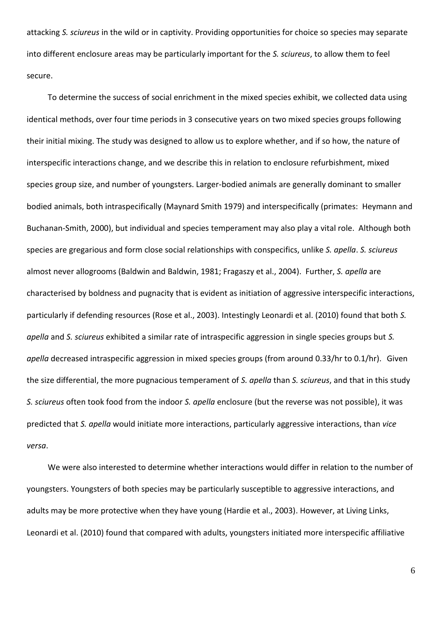attacking *S. sciureus* in the wild or in captivity. Providing opportunities for choice so species may separate into different enclosure areas may be particularly important for the *S. sciureus*, to allow them to feel secure.

To determine the success of social enrichment in the mixed species exhibit, we collected data using identical methods, over four time periods in 3 consecutive years on two mixed species groups following their initial mixing. The study was designed to allow us to explore whether, and if so how, the nature of interspecific interactions change, and we describe this in relation to enclosure refurbishment, mixed species group size, and number of youngsters. Larger-bodied animals are generally dominant to smaller bodied animals, both intraspecifically (Maynard Smith 1979) and interspecifically (primates: Heymann and Buchanan-Smith, 2000), but individual and species temperament may also play a vital role. Although both species are gregarious and form close social relationships with conspecifics, unlike *S. apella*. *S. sciureus* almost never allogrooms (Baldwin and Baldwin, 1981; Fragaszy et al., 2004). Further, *S. apella* are characterised by boldness and pugnacity that is evident as initiation of aggressive interspecific interactions, particularly if defending resources (Rose et al., 2003). Intestingly Leonardi et al. (2010) found that both *S. apella* and *S. sciureus* exhibited a similar rate of intraspecific aggression in single species groups but *S. apella* decreased intraspecific aggression in mixed species groups (from around 0.33/hr to 0.1/hr). Given the size differential, the more pugnacious temperament of *S. apella* than *S. sciureus*, and that in this study *S. sciureus* often took food from the indoor *S. apella* enclosure (but the reverse was not possible), it was predicted that *S. apella* would initiate more interactions, particularly aggressive interactions, than *vice versa*.

We were also interested to determine whether interactions would differ in relation to the number of youngsters. Youngsters of both species may be particularly susceptible to aggressive interactions, and adults may be more protective when they have young (Hardie et al., 2003). However, at Living Links, Leonardi et al. (2010) found that compared with adults, youngsters initiated more interspecific affiliative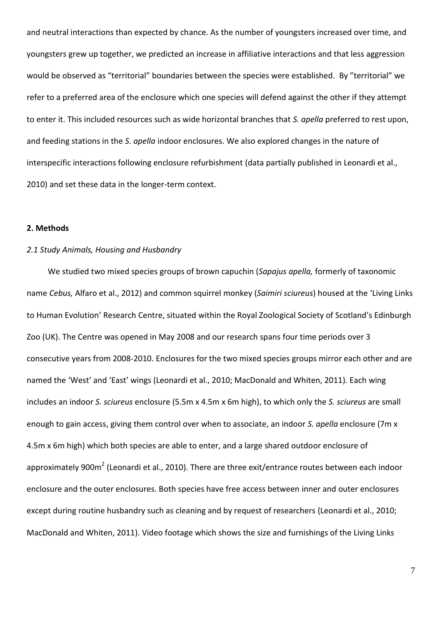and neutral interactions than expected by chance. As the number of youngsters increased over time, and youngsters grew up together, we predicted an increase in affiliative interactions and that less aggression would be observed as "territorial" boundaries between the species were established. By "territorial" we refer to a preferred area of the enclosure which one species will defend against the other if they attempt to enter it. This included resources such as wide horizontal branches that *S. apella* preferred to rest upon, and feeding stations in the *S. apella* indoor enclosures. We also explored changes in the nature of interspecific interactions following enclosure refurbishment (data partially published in Leonardi et al., 2010) and set these data in the longer-term context.

#### **2. Methods**

## *2.1 Study Animals, Housing and Husbandry*

We studied two mixed species groups of brown capuchin (*Sapajus apella,* formerly of taxonomic name *Cebus,* Alfaro et al., 2012) and common squirrel monkey (*Saimiri sciureus*) housed at the 'Living Links to Human Evolution' Research Centre, situated within the Royal Zoological Society of Scotland's Edinburgh Zoo (UK). The Centre was opened in May 2008 and our research spans four time periods over 3 consecutive years from 2008-2010. Enclosures for the two mixed species groups mirror each other and are named the 'West' and 'East' wings (Leonardi et al., 2010; MacDonald and Whiten, 2011). Each wing includes an indoor *S. sciureus* enclosure (5.5m x 4.5m x 6m high), to which only the *S. sciureus* are small enough to gain access, giving them control over when to associate, an indoor *S. apella* enclosure (7m x 4.5m x 6m high) which both species are able to enter, and a large shared outdoor enclosure of approximately 900m<sup>2</sup> (Leonardi et al., 2010). There are three exit/entrance routes between each indoor enclosure and the outer enclosures. Both species have free access between inner and outer enclosures except during routine husbandry such as cleaning and by request of researchers (Leonardi et al., 2010; MacDonald and Whiten, 2011). Video footage which shows the size and furnishings of the Living Links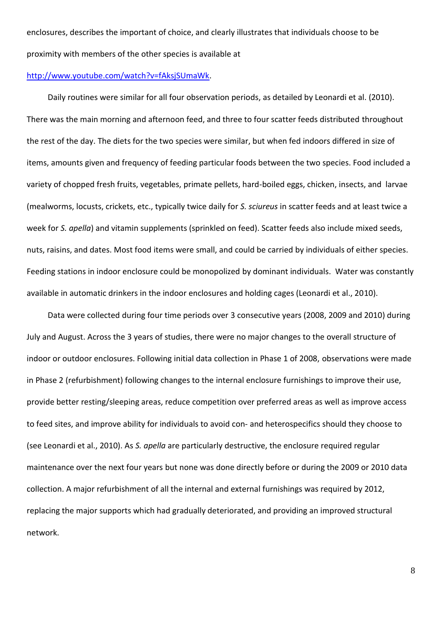enclosures, describes the important of choice, and clearly illustrates that individuals choose to be proximity with members of the other species is available at

#### [http://www.youtube.com/watch?v=fAksjSUmaWk.](http://www.youtube.com/watch?v=fAksjSUmaWk)

Daily routines were similar for all four observation periods, as detailed by Leonardi et al. (2010). There was the main morning and afternoon feed, and three to four scatter feeds distributed throughout the rest of the day. The diets for the two species were similar, but when fed indoors differed in size of items, amounts given and frequency of feeding particular foods between the two species. Food included a variety of chopped fresh fruits, vegetables, primate pellets, hard-boiled eggs, chicken, insects, and larvae (mealworms, locusts, crickets, etc., typically twice daily for *S. sciureus* in scatter feeds and at least twice a week for *S. apella*) and vitamin supplements (sprinkled on feed). Scatter feeds also include mixed seeds, nuts, raisins, and dates. Most food items were small, and could be carried by individuals of either species. Feeding stations in indoor enclosure could be monopolized by dominant individuals. Water was constantly available in automatic drinkers in the indoor enclosures and holding cages (Leonardi et al., 2010).

Data were collected during four time periods over 3 consecutive years (2008, 2009 and 2010) during July and August. Across the 3 years of studies, there were no major changes to the overall structure of indoor or outdoor enclosures. Following initial data collection in Phase 1 of 2008, observations were made in Phase 2 (refurbishment) following changes to the internal enclosure furnishings to improve their use, provide better resting/sleeping areas, reduce competition over preferred areas as well as improve access to feed sites, and improve ability for individuals to avoid con- and heterospecifics should they choose to (see Leonardi et al., 2010). As *S. apella* are particularly destructive, the enclosure required regular maintenance over the next four years but none was done directly before or during the 2009 or 2010 data collection. A major refurbishment of all the internal and external furnishings was required by 2012, replacing the major supports which had gradually deteriorated, and providing an improved structural network.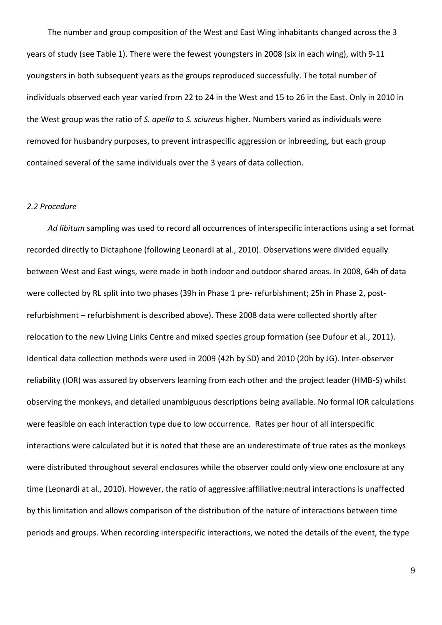The number and group composition of the West and East Wing inhabitants changed across the 3 years of study (see Table 1). There were the fewest youngsters in 2008 (six in each wing), with 9-11 youngsters in both subsequent years as the groups reproduced successfully. The total number of individuals observed each year varied from 22 to 24 in the West and 15 to 26 in the East. Only in 2010 in the West group was the ratio of *S. apella* to *S. sciureus* higher. Numbers varied as individuals were removed for husbandry purposes, to prevent intraspecific aggression or inbreeding, but each group contained several of the same individuals over the 3 years of data collection.

## *2.2 Procedure*

*Ad libitum* sampling was used to record all occurrences of interspecific interactions using a set format recorded directly to Dictaphone (following Leonardi at al., 2010). Observations were divided equally between West and East wings, were made in both indoor and outdoor shared areas. In 2008, 64h of data were collected by RL split into two phases (39h in Phase 1 pre- refurbishment; 25h in Phase 2, postrefurbishment – refurbishment is described above). These 2008 data were collected shortly after relocation to the new Living Links Centre and mixed species group formation (see Dufour et al., 2011). Identical data collection methods were used in 2009 (42h by SD) and 2010 (20h by JG). Inter-observer reliability (IOR) was assured by observers learning from each other and the project leader (HMB-S) whilst observing the monkeys, and detailed unambiguous descriptions being available. No formal IOR calculations were feasible on each interaction type due to low occurrence. Rates per hour of all interspecific interactions were calculated but it is noted that these are an underestimate of true rates as the monkeys were distributed throughout several enclosures while the observer could only view one enclosure at any time (Leonardi at al., 2010). However, the ratio of aggressive:affiliative:neutral interactions is unaffected by this limitation and allows comparison of the distribution of the nature of interactions between time periods and groups. When recording interspecific interactions, we noted the details of the event, the type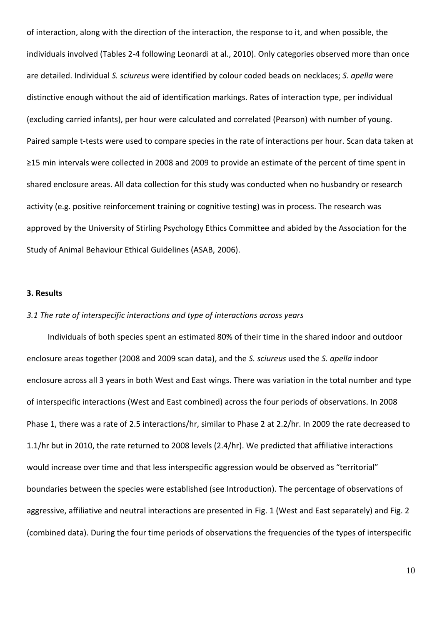of interaction, along with the direction of the interaction, the response to it, and when possible, the individuals involved (Tables 2-4 following Leonardi at al., 2010). Only categories observed more than once are detailed. Individual *S. sciureus* were identified by colour coded beads on necklaces; *S. apella* were distinctive enough without the aid of identification markings. Rates of interaction type, per individual (excluding carried infants), per hour were calculated and correlated (Pearson) with number of young. Paired sample t-tests were used to compare species in the rate of interactions per hour. Scan data taken at ≥15 min intervals were collected in 2008 and 2009 to provide an estimate of the percent of time spent in shared enclosure areas. All data collection for this study was conducted when no husbandry or research activity (e.g. positive reinforcement training or cognitive testing) was in process. The research was approved by the University of Stirling Psychology Ethics Committee and abided by the Association for the Study of Animal Behaviour Ethical Guidelines (ASAB, 2006).

#### **3. Results**

## *3.1 The rate of interspecific interactions and type of interactions across years*

Individuals of both species spent an estimated 80% of their time in the shared indoor and outdoor enclosure areas together (2008 and 2009 scan data), and the *S. sciureus* used the *S. apella* indoor enclosure across all 3 years in both West and East wings. There was variation in the total number and type of interspecific interactions (West and East combined) across the four periods of observations. In 2008 Phase 1, there was a rate of 2.5 interactions/hr, similar to Phase 2 at 2.2/hr. In 2009 the rate decreased to 1.1/hr but in 2010, the rate returned to 2008 levels (2.4/hr). We predicted that affiliative interactions would increase over time and that less interspecific aggression would be observed as "territorial" boundaries between the species were established (see Introduction). The percentage of observations of aggressive, affiliative and neutral interactions are presented in Fig. 1 (West and East separately) and Fig. 2 (combined data). During the four time periods of observations the frequencies of the types of interspecific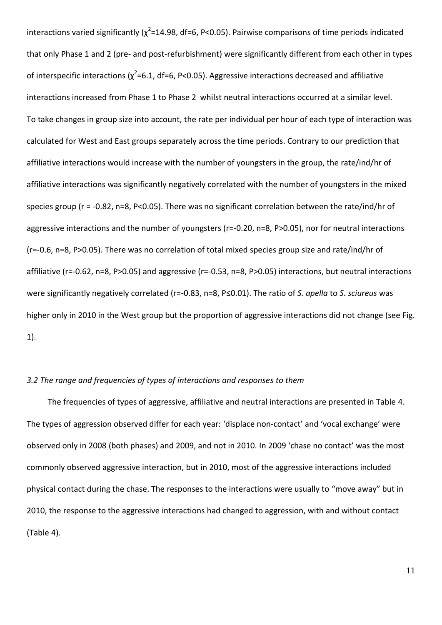interactions varied significantly ( $\chi^2$ =14.98, df=6, P<0.05). Pairwise comparisons of time periods indicated that only Phase 1 and 2 (pre- and post-refurbishment) were significantly different from each other in types of interspecific interactions ( $\chi^2$ =6.1, df=6, P<0.05). Aggressive interactions decreased and affiliative interactions increased from Phase 1 to Phase 2 whilst neutral interactions occurred at a similar level. To take changes in group size into account, the rate per individual per hour of each type of interaction was calculated for West and East groups separately across the time periods. Contrary to our prediction that affiliative interactions would increase with the number of youngsters in the group, the rate/ind/hr of affiliative interactions was significantly negatively correlated with the number of youngsters in the mixed species group (r = -0.82, n=8, P<0.05). There was no significant correlation between the rate/ind/hr of aggressive interactions and the number of youngsters (r=-0.20, n=8, P>0.05), nor for neutral interactions (r=-0.6, n=8, P>0.05). There was no correlation of total mixed species group size and rate/ind/hr of affiliative (r=-0.62, n=8, P>0.05) and aggressive (r=-0.53, n=8, P>0.05) interactions, but neutral interactions were significantly negatively correlated (r=-0.83, n=8, P≤0.01). The ratio of *S. apella* to *S*. *sciureus* was higher only in 2010 in the West group but the proportion of aggressive interactions did not change (see Fig. 1).

## *3.2 The range and frequencies of types of interactions and responses to them*

The frequencies of types of aggressive, affiliative and neutral interactions are presented in Table 4. The types of aggression observed differ for each year: 'displace non-contact' and 'vocal exchange' were observed only in 2008 (both phases) and 2009, and not in 2010. In 2009 'chase no contact' was the most commonly observed aggressive interaction, but in 2010, most of the aggressive interactions included physical contact during the chase. The responses to the interactions were usually to "move away" but in 2010, the response to the aggressive interactions had changed to aggression, with and without contact (Table 4).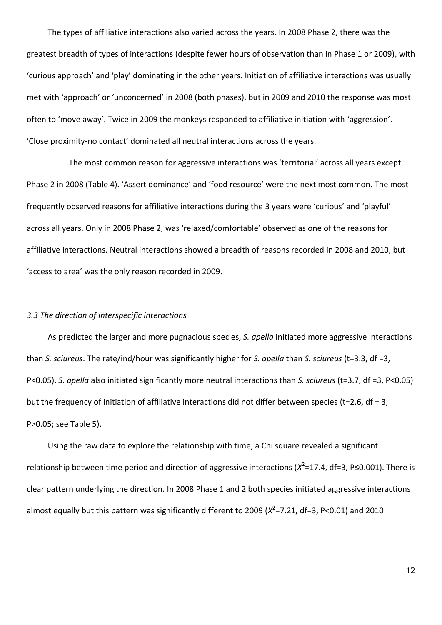The types of affiliative interactions also varied across the years. In 2008 Phase 2, there was the greatest breadth of types of interactions (despite fewer hours of observation than in Phase 1 or 2009), with 'curious approach' and 'play' dominating in the other years. Initiation of affiliative interactions was usually met with 'approach' or 'unconcerned' in 2008 (both phases), but in 2009 and 2010 the response was most often to 'move away'. Twice in 2009 the monkeys responded to affiliative initiation with 'aggression'. 'Close proximity-no contact' dominated all neutral interactions across the years.

The most common reason for aggressive interactions was 'territorial' across all years except Phase 2 in 2008 (Table 4). 'Assert dominance' and 'food resource' were the next most common. The most frequently observed reasons for affiliative interactions during the 3 years were 'curious' and 'playful' across all years. Only in 2008 Phase 2, was 'relaxed/comfortable' observed as one of the reasons for affiliative interactions. Neutral interactions showed a breadth of reasons recorded in 2008 and 2010, but 'access to area' was the only reason recorded in 2009.

# *3.3 The direction of interspecific interactions*

As predicted the larger and more pugnacious species, *S. apella* initiated more aggressive interactions than *S. sciureus*. The rate/ind/hour was significantly higher for *S. apella* than *S. sciureus* (t=3.3, df =3, P<0.05). *S. apella* also initiated significantly more neutral interactions than *S. sciureus* (t=3.7, df =3, P<0.05) but the frequency of initiation of affiliative interactions did not differ between species (t=2.6, df = 3, P>0.05; see Table 5).

Using the raw data to explore the relationship with time, a Chi square revealed a significant relationship between time period and direction of aggressive interactions (*X*<sup>2</sup>=17.4, df=3, P≤0.001). There is clear pattern underlying the direction. In 2008 Phase 1 and 2 both species initiated aggressive interactions almost equally but this pattern was significantly different to 2009 (*X*<sup>2</sup>=7.21, df=3, P<0.01) and 2010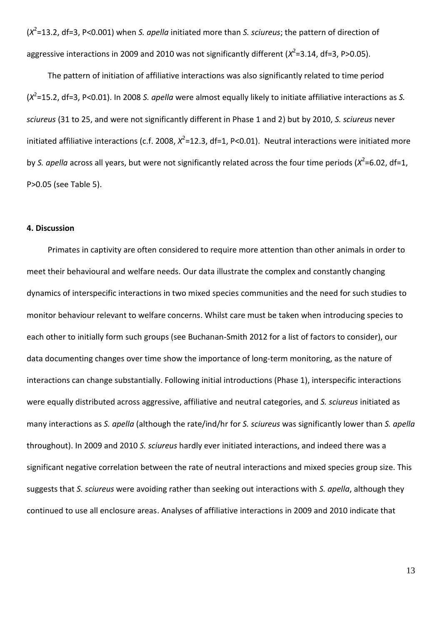(*X* 2 =13.2, df=3, P<0.001) when *S. apella* initiated more than *S. sciureus*; the pattern of direction of aggressive interactions in 2009 and 2010 was not significantly different ( $X^2$ =3.14, df=3, P>0.05).

The pattern of initiation of affiliative interactions was also significantly related to time period (*X* 2 =15.2, df=3, P<0.01). In 2008 *S. apella* were almost equally likely to initiate affiliative interactions as *S. sciureus* (31 to 25, and were not significantly different in Phase 1 and 2) but by 2010, *S. sciureus* never initiated affiliative interactions (c.f. 2008,  $X^2$ =12.3, df=1, P<0.01). Neutral interactions were initiated more by S. apella across all years, but were not significantly related across the four time periods (X<sup>2</sup>=6.02, df=1, P>0.05 (see Table 5).

## **4. Discussion**

Primates in captivity are often considered to require more attention than other animals in order to meet their behavioural and welfare needs. Our data illustrate the complex and constantly changing dynamics of interspecific interactions in two mixed species communities and the need for such studies to monitor behaviour relevant to welfare concerns. Whilst care must be taken when introducing species to each other to initially form such groups (see Buchanan-Smith 2012 for a list of factors to consider), our data documenting changes over time show the importance of long-term monitoring, as the nature of interactions can change substantially. Following initial introductions (Phase 1), interspecific interactions were equally distributed across aggressive, affiliative and neutral categories, and *S. sciureus* initiated as many interactions as *S. apella* (although the rate/ind/hr for *S. sciureus* was significantly lower than *S. apella* throughout). In 2009 and 2010 *S. sciureus* hardly ever initiated interactions, and indeed there was a significant negative correlation between the rate of neutral interactions and mixed species group size. This suggests that *S. sciureus* were avoiding rather than seeking out interactions with *S. apella*, although they continued to use all enclosure areas. Analyses of affiliative interactions in 2009 and 2010 indicate that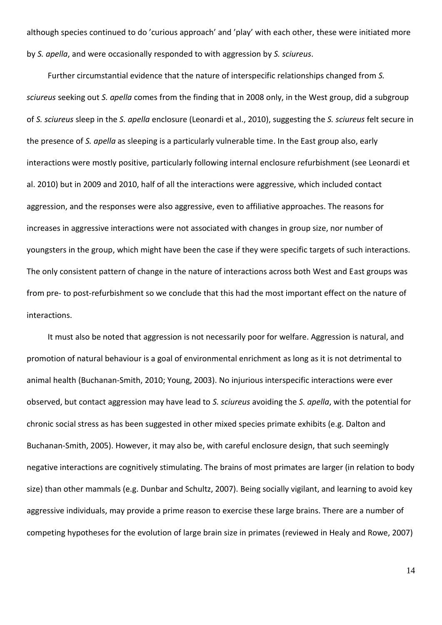although species continued to do 'curious approach' and 'play' with each other, these were initiated more by *S. apella*, and were occasionally responded to with aggression by *S. sciureus*.

Further circumstantial evidence that the nature of interspecific relationships changed from *S. sciureus* seeking out *S. apella* comes from the finding that in 2008 only, in the West group, did a subgroup of *S. sciureus* sleep in the *S. apella* enclosure (Leonardi et al., 2010), suggesting the *S. sciureus* felt secure in the presence of *S. apella* as sleeping is a particularly vulnerable time. In the East group also, early interactions were mostly positive, particularly following internal enclosure refurbishment (see Leonardi et al. 2010) but in 2009 and 2010, half of all the interactions were aggressive, which included contact aggression, and the responses were also aggressive, even to affiliative approaches. The reasons for increases in aggressive interactions were not associated with changes in group size, nor number of youngsters in the group, which might have been the case if they were specific targets of such interactions. The only consistent pattern of change in the nature of interactions across both West and East groups was from pre- to post-refurbishment so we conclude that this had the most important effect on the nature of interactions.

It must also be noted that aggression is not necessarily poor for welfare. Aggression is natural, and promotion of natural behaviour is a goal of environmental enrichment as long as it is not detrimental to animal health (Buchanan-Smith, 2010; Young, 2003). No injurious interspecific interactions were ever observed, but contact aggression may have lead to *S. sciureus* avoiding the *S. apella*, with the potential for chronic social stress as has been suggested in other mixed species primate exhibits (e.g. Dalton and Buchanan-Smith, 2005). However, it may also be, with careful enclosure design, that such seemingly negative interactions are cognitively stimulating. The brains of most primates are larger (in relation to body size) than other mammals (e.g. Dunbar and Schultz, 2007). Being socially vigilant, and learning to avoid key aggressive individuals, may provide a prime reason to exercise these large brains. There are a number of competing hypotheses for the evolution of large brain size in primates (reviewed in Healy and Rowe, 2007)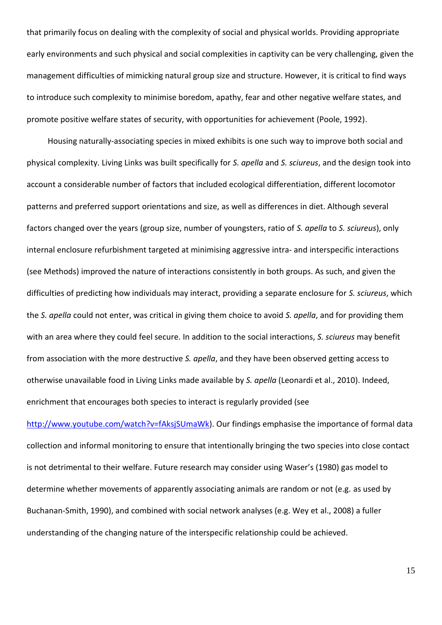that primarily focus on dealing with the complexity of social and physical worlds. Providing appropriate early environments and such physical and social complexities in captivity can be very challenging, given the management difficulties of mimicking natural group size and structure. However, it is critical to find ways to introduce such complexity to minimise boredom, apathy, fear and other negative welfare states, and promote positive welfare states of security, with opportunities for achievement (Poole, 1992).

Housing naturally-associating species in mixed exhibits is one such way to improve both social and physical complexity. Living Links was built specifically for *S. apella* and *S. sciureus*, and the design took into account a considerable number of factors that included ecological differentiation, different locomotor patterns and preferred support orientations and size, as well as differences in diet. Although several factors changed over the years (group size, number of youngsters, ratio of *S. apella* to *S. sciureus*), only internal enclosure refurbishment targeted at minimising aggressive intra- and interspecific interactions (see Methods) improved the nature of interactions consistently in both groups. As such, and given the difficulties of predicting how individuals may interact, providing a separate enclosure for *S. sciureus*, which the *S. apella* could not enter, was critical in giving them choice to avoid *S. apella*, and for providing them with an area where they could feel secure. In addition to the social interactions, *S. sciureus* may benefit from association with the more destructive *S. apella*, and they have been observed getting access to otherwise unavailable food in Living Links made available by *S. apella* (Leonardi et al., 2010). Indeed, enrichment that encourages both species to interact is regularly provided (see

[http://www.youtube.com/watch?v=fAksjSUmaWk\)](http://www.youtube.com/watch?v=fAksjSUmaWk). Our findings emphasise the importance of formal data collection and informal monitoring to ensure that intentionally bringing the two species into close contact is not detrimental to their welfare. Future research may consider using Waser's (1980) gas model to determine whether movements of apparently associating animals are random or not (e.g. as used by Buchanan-Smith, 1990), and combined with social network analyses (e.g. Wey et al., 2008) a fuller understanding of the changing nature of the interspecific relationship could be achieved.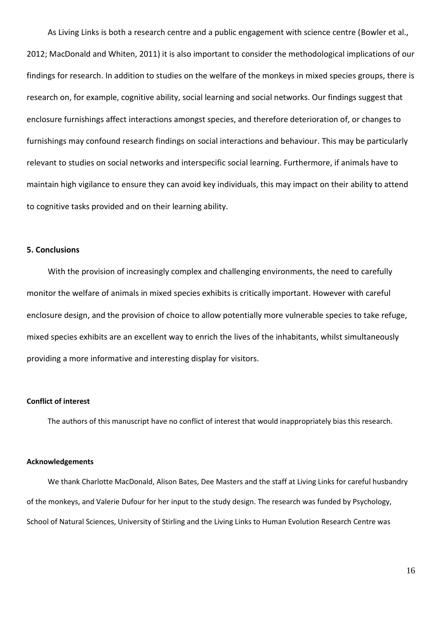As Living Links is both a research centre and a public engagement with science centre (Bowler et al., 2012; MacDonald and Whiten, 2011) it is also important to consider the methodological implications of our findings for research. In addition to studies on the welfare of the monkeys in mixed species groups, there is research on, for example, cognitive ability, social learning and social networks. Our findings suggest that enclosure furnishings affect interactions amongst species, and therefore deterioration of, or changes to furnishings may confound research findings on social interactions and behaviour. This may be particularly relevant to studies on social networks and interspecific social learning. Furthermore, if animals have to maintain high vigilance to ensure they can avoid key individuals, this may impact on their ability to attend to cognitive tasks provided and on their learning ability.

## **5. Conclusions**

With the provision of increasingly complex and challenging environments, the need to carefully monitor the welfare of animals in mixed species exhibits is critically important. However with careful enclosure design, and the provision of choice to allow potentially more vulnerable species to take refuge, mixed species exhibits are an excellent way to enrich the lives of the inhabitants, whilst simultaneously providing a more informative and interesting display for visitors.

## **Conflict of interest**

The authors of this manuscript have no conflict of interest that would inappropriately bias this research.

#### **Acknowledgements**

We thank Charlotte MacDonald, Alison Bates, Dee Masters and the staff at Living Links for careful husbandry of the monkeys, and Valerie Dufour for her input to the study design. The research was funded by Psychology, School of Natural Sciences, University of Stirling and the Living Links to Human Evolution Research Centre was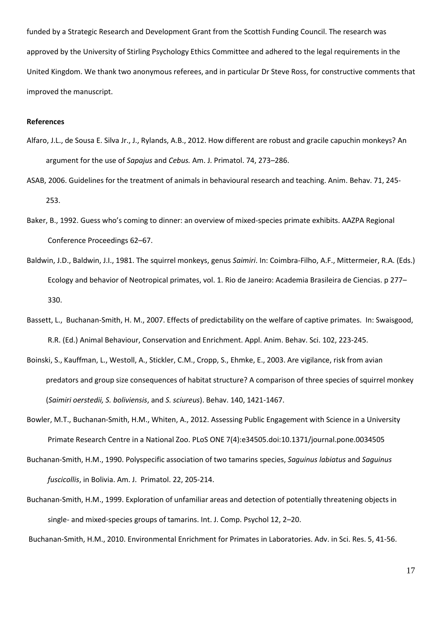funded by a Strategic Research and Development Grant from the Scottish Funding Council. The research was approved by the University of Stirling Psychology Ethics Committee and adhered to the legal requirements in the United Kingdom. We thank two anonymous referees, and in particular Dr Steve Ross, for constructive comments that improved the manuscript.

#### **References**

- Alfaro, J.L., de Sousa E. Silva Jr., J., Rylands, A.B., 2012. How different are robust and gracile capuchin monkeys? An argument for the use of *Sapajus* and *Cebus.* Am. J. Primatol. 74, 273–286.
- ASAB, 2006. Guidelines for the treatment of animals in behavioural research and teaching. Anim. Behav. 71, 245- 253.
- Baker, B., 1992. Guess who's coming to dinner: an overview of mixed-species primate exhibits. AAZPA Regional Conference Proceedings 62–67.
- Baldwin, J.D., Baldwin, J.I., 1981. The squirrel monkeys, genus *Saimiri*. In: Coimbra-Filho, A.F., Mittermeier, R.A. (Eds.) Ecology and behavior of Neotropical primates, vol. 1. Rio de Janeiro: Academia Brasileira de Ciencias. p 277– 330.
- Bassett, L., Buchanan-Smith, H. M., 2007. Effects of predictability on the welfare of captive primates. In: Swaisgood, R.R. (Ed.) Animal Behaviour, Conservation and Enrichment. Appl. Anim. Behav. Sci. 102, 223-245.
- Boinski, S., Kauffman, L., Westoll, A., Stickler, C.M., Cropp, S., Ehmke, E., 2003. Are vigilance, risk from avian predators and group size consequences of habitat structure? A comparison of three species of squirrel monkey (*Saimiri oerstedii, S. boliviensis*, and *S. sciureus*). Behav. 140, 1421-1467.
- Bowler, M.T., Buchanan-Smith, H.M., Whiten, A., 2012. Assessing Public Engagement with Science in a University Primate Research Centre in a National Zoo. PLoS ONE 7(4):e34505.doi:10.1371/journal.pone.0034505
- Buchanan-Smith, H.M., 1990. Polyspecific association of two tamarins species, *Saguinus labiatus* and *Saguinus fuscicollis*, in Bolivia. Am. J. Primatol. 22, 205-214.
- Buchanan-Smith, H.M., 1999. Exploration of unfamiliar areas and detection of potentially threatening objects in single- and mixed-species groups of tamarins. Int. J. Comp. Psychol 12, 2–20.
- Buchanan-Smith, H.M., 2010. Environmental Enrichment for Primates in Laboratories. Adv. in Sci. Res. 5, 41-56.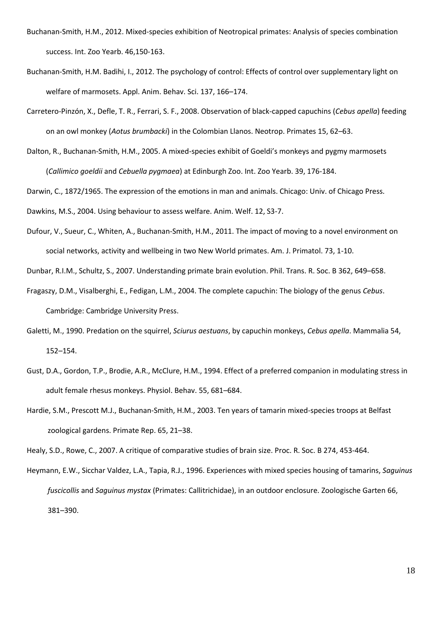- Buchanan-Smith, H.M., 2012. Mixed-species exhibition of Neotropical primates: Analysis of species combination success. Int. Zoo Yearb. 46,150-163.
- Buchanan-Smith, H.M. Badihi, I., 2012. The psychology of control: Effects of control over supplementary light on welfare of marmosets. Appl. Anim. Behav. Sci. 137, 166–174.
- Carretero-Pinzón, X., Defle, T. R., Ferrari, S. F., 2008. Observation of black-capped capuchins (*Cebus apella*) feeding on an owl monkey (*Aotus brumbacki*) in the Colombian Llanos. Neotrop. Primates 15, 62–63.
- Dalton, R., Buchanan-Smith, H.M., 2005. A mixed-species exhibit of Goeldi's monkeys and pygmy marmosets (*Callimico goeldii* and *Cebuella pygmaea*) at Edinburgh Zoo. Int. Zoo Yearb. 39, 176-184.

Darwin, C., 1872/1965. The expression of the emotions in man and animals. Chicago: Univ. of Chicago Press.

Dawkins, M.S., 2004. Using behaviour to assess welfare. Anim. Welf. 12, S3-7.

Dufour, V., Sueur, C., Whiten, A., Buchanan-Smith, H.M., 2011. The impact of moving to a novel environment on social networks, activity and wellbeing in two New World primates. Am. J. Primatol. 73, 1-10.

Dunbar, R.I.M., Schultz, S., 2007. Understanding primate brain evolution. Phil. Trans. R. Soc. B 362, 649–658.

- Fragaszy, D.M., Visalberghi, E., Fedigan, L.M., 2004. The complete capuchin: The biology of the genus *Cebus*. Cambridge: Cambridge University Press.
- Galetti, M., 1990. Predation on the squirrel, *Sciurus aestuans*, by capuchin monkeys, *Cebus apella*. Mammalia 54, 152–154.
- Gust, D.A., Gordon, T.P., Brodie, A.R., McClure, H.M., 1994. Effect of a preferred companion in modulating stress in adult female rhesus monkeys. Physiol. Behav. 55, 681–684.
- Hardie, S.M., Prescott M.J., Buchanan-Smith, H.M., 2003. Ten years of tamarin mixed-species troops at Belfast zoological gardens. Primate Rep. 65, 21–38.

Healy, S.D., Rowe, C., 2007. A critique of comparative studies of brain size. Proc. R. Soc. B 274, 453-464.

Heymann, E.W., Sicchar Valdez, L.A., Tapia, R.J., 1996. Experiences with mixed species housing of tamarins, *Saguinus fuscicollis* and *Saguinus mystax* (Primates: Callitrichidae), in an outdoor enclosure. Zoologische Garten 66, 381–390.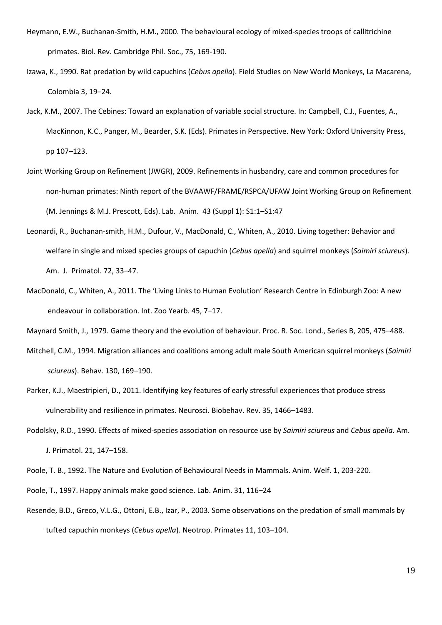- Heymann, E.W., Buchanan-Smith, H.M., 2000. The behavioural ecology of mixed-species troops of callitrichine primates. Biol. Rev. Cambridge Phil. Soc., 75, 169-190.
- Izawa, K., 1990. Rat predation by wild capuchins (*Cebus apella*). Field Studies on New World Monkeys, La Macarena, Colombia 3, 19–24.
- Jack, K.M., 2007. The Cebines: Toward an explanation of variable social structure. In: Campbell, C.J., Fuentes, A., MacKinnon, K.C., Panger, M., Bearder, S.K. (Eds). Primates in Perspective. New York: Oxford University Press, pp 107–123.
- Joint Working Group on Refinement (JWGR), 2009. Refinements in husbandry, care and common procedures for non-human primates: Ninth report of the BVAAWF/FRAME/RSPCA/UFAW Joint Working Group on Refinement (M. Jennings & M.J. Prescott, Eds). Lab. Anim. 43 (Suppl 1): S1:1–S1:47
- Leonardi, R., Buchanan-smith, H.M., Dufour, V., MacDonald, C., Whiten, A., 2010. Living together: Behavior and welfare in single and mixed species groups of capuchin (*Cebus apella*) and squirrel monkeys (*Saimiri sciureus*). Am. J. Primatol. 72, 33–47.
- MacDonald, C., Whiten, A., 2011. The 'Living Links to Human Evolution' Research Centre in Edinburgh Zoo: A new endeavour in collaboration. Int. Zoo Yearb. 45, 7–17.

Maynard Smith, J., 1979. Game theory and the evolution of behaviour. Proc. R. Soc. Lond., Series B, 205, 475–488.

- Mitchell, C.M., 1994. Migration alliances and coalitions among adult male South American squirrel monkeys (*Saimiri sciureus*). Behav. 130, 169–190.
- Parker, K.J., Maestripieri, D., 2011. Identifying key features of early stressful experiences that produce stress vulnerability and resilience in primates. [Neurosci. Biobehav. Rev.](http://www.sciencedirect.com/science/journal/01497634) 35, 1466–1483.
- Podolsky, R.D., 1990. Effects of mixed-species association on resource use by *Saimiri sciureus* and *Cebus apella*. Am. J. Primatol. 21, 147–158.
- Poole, T. B., 1992. The Nature and Evolution of Behavioural Needs in Mammals. [Anim. Welf. 1](http://www.ingentaconnect.com/content/ufaw/aw;jsessionid=abdd927o6uub5.alexandra), 203-220.
- Poole, T., 1997. Happy animals make good science. Lab. Anim. 31, 116–24
- Resende, B.D., Greco, V.L.G., Ottoni, E.B., Izar, P., 2003. Some observations on the predation of small mammals by tufted capuchin monkeys (*Cebus apella*). Neotrop. Primates 11, 103–104.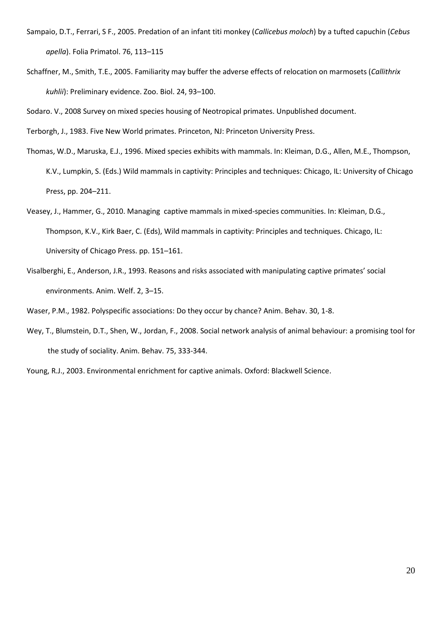- Sampaio, D.T., Ferrari, S F., 2005. Predation of an infant titi monkey (*Callicebus moloch*) by a tufted capuchin (*Cebus apella*). Folia Primatol. 76, 113–115
- Schaffner, M., Smith, T.E., 2005. Familiarity may buffer the adverse effects of relocation on marmosets (*Callithrix kuhlii*): Preliminary evidence. Zoo. Biol. 24, 93–100.

Sodaro. V., 2008 Survey on mixed species housing of Neotropical primates. Unpublished document.

Terborgh, J., 1983. Five New World primates. Princeton, NJ: Princeton University Press.

- Thomas, W.D., Maruska, E.J., 1996. Mixed species exhibits with mammals. In: Kleiman, D.G., Allen, M.E., Thompson, K.V., Lumpkin, S. (Eds.) Wild mammals in captivity: Principles and techniques: Chicago, IL: University of Chicago Press, pp. 204–211.
- Veasey, J., Hammer, G., 2010. Managing captive mammals in mixed-species communities. In: Kleiman, D.G., Thompson, K.V., Kirk Baer, C. (Eds), Wild mammals in captivity: Principles and techniques. Chicago, IL: University of Chicago Press. pp. 151–161.
- Visalberghi, E., Anderson, J.R., 1993. Reasons and risks associated with manipulating captive primates' social environments. Anim. Welf. 2, 3–15.

Waser, P.M., 1982. Polyspecific associations: Do they occur by chance? Anim. Behav. 30, 1-8.

- Wey, T., Blumstein, D.T., Shen, W., Jordan, F., 2008. Social network analysis of animal behaviour: a promising tool for the study of sociality. Anim. Behav. 75, 333-344.
- Young, R.J., 2003. Environmental enrichment for captive animals. Oxford: Blackwell Science.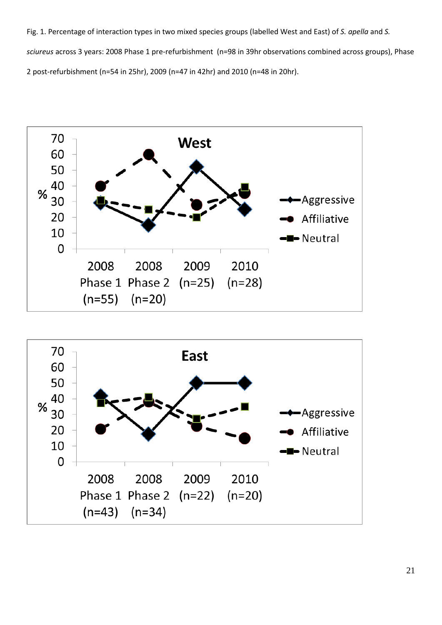Fig. 1. Percentage of interaction types in two mixed species groups (labelled West and East) of *S. apella* and *S. sciureus* across 3 years: 2008 Phase 1 pre-refurbishment (n=98 in 39hr observations combined across groups), Phase 2 post-refurbishment (n=54 in 25hr), 2009 (n=47 in 42hr) and 2010 (n=48 in 20hr).



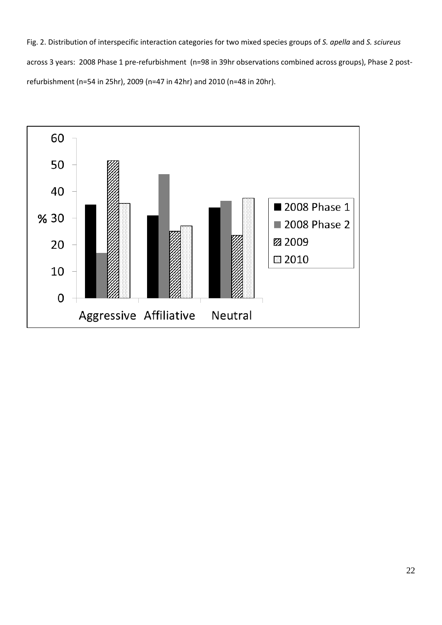Fig. 2. Distribution of interspecific interaction categories for two mixed species groups of *S. apella* and *S. sciureus* across 3 years: 2008 Phase 1 pre-refurbishment (n=98 in 39hr observations combined across groups), Phase 2 postrefurbishment (n=54 in 25hr), 2009 (n=47 in 42hr) and 2010 (n=48 in 20hr).

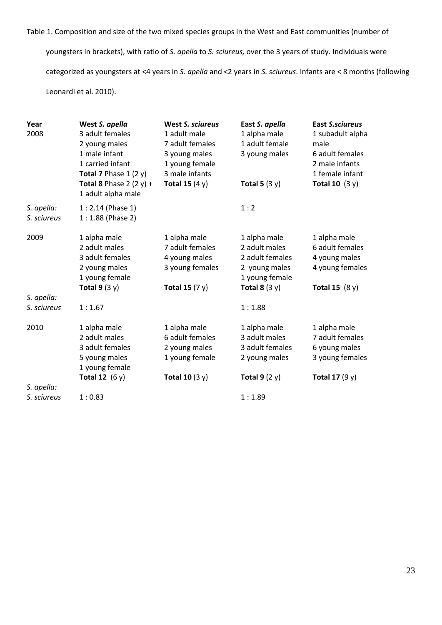Table 1. Composition and size of the two mixed species groups in the West and East communities (number of

youngsters in brackets), with ratio of *S. apella* to *S. sciureus,* over the 3 years of study. Individuals were categorized as youngsters at <4 years in *S. apella* and <2 years in *S. sciureus*. Infants are < 8 months (following Leonardi et al. 2010).

| Year<br>2008              | West S. apella<br>3 adult females<br>2 young males<br>1 male infant<br>1 carried infant<br>Total 7 Phase $1(2y)$ | <b>West S. sciureus</b><br>1 adult male<br>7 adult females<br>3 young males<br>1 young female<br>3 male infants | East S. apella<br>1 alpha male<br>1 adult female<br>3 young males                                      | <b>East S.sciureus</b><br>1 subadult alpha<br>male<br>6 adult females<br>2 male infants<br>1 female infant |
|---------------------------|------------------------------------------------------------------------------------------------------------------|-----------------------------------------------------------------------------------------------------------------|--------------------------------------------------------------------------------------------------------|------------------------------------------------------------------------------------------------------------|
|                           | Total 8 Phase 2 $(2 y) +$<br>1 adult alpha male                                                                  | Total 15 $(4 y)$                                                                                                | Total 5 $(3 y)$                                                                                        | Total 10 $(3 y)$                                                                                           |
| S. apella:<br>S. sciureus | $1:2.14$ (Phase 1)<br>$1:1.88$ (Phase 2)                                                                         |                                                                                                                 | 1:2                                                                                                    |                                                                                                            |
| 2009                      | 1 alpha male<br>2 adult males<br>3 adult females<br>2 young males<br>1 young female<br>Total $9(3y)$             | 1 alpha male<br>7 adult females<br>4 young males<br>3 young females<br>Total 15 $(7 y)$                         | 1 alpha male<br>2 adult males<br>2 adult females<br>2 young males<br>1 young female<br>Total 8 $(3 y)$ | 1 alpha male<br>6 adult females<br>4 young males<br>4 young females<br>Total 15 $(8 y)$                    |
| S. apella:                |                                                                                                                  |                                                                                                                 |                                                                                                        |                                                                                                            |
| S. sciureus               | 1:1.67                                                                                                           |                                                                                                                 | 1:1.88                                                                                                 |                                                                                                            |
| 2010                      | 1 alpha male<br>2 adult males<br>3 adult females<br>5 young males<br>1 young female<br>Total 12 $(6 y)$          | 1 alpha male<br>6 adult females<br>2 young males<br>1 young female<br>Total 10 $(3 y)$                          | 1 alpha male<br>3 adult males<br>3 adult females<br>2 young males<br>Total $9(2 y)$                    | 1 alpha male<br>7 adult females<br>6 young males<br>3 young females<br>Total 17 $(9y)$                     |
| S. apella:                |                                                                                                                  |                                                                                                                 |                                                                                                        |                                                                                                            |
| S. sciureus               | 1:0.83                                                                                                           |                                                                                                                 | 1:1.89                                                                                                 |                                                                                                            |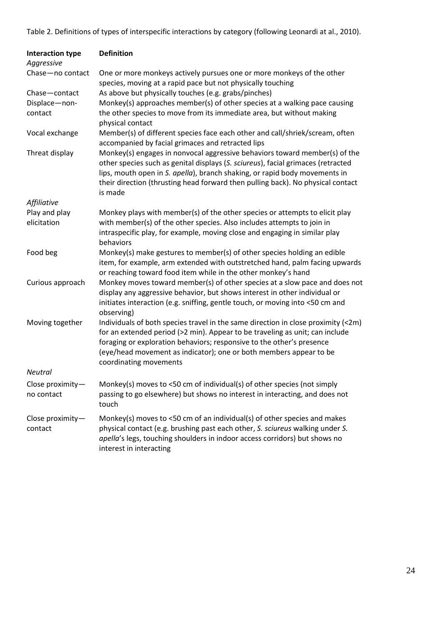Table 2. Definitions of types of interspecific interactions by category (following Leonardi at al., 2010).

| <b>Interaction type</b><br>Aggressive | <b>Definition</b>                                                                                                                                                                                                                                                                                                                          |
|---------------------------------------|--------------------------------------------------------------------------------------------------------------------------------------------------------------------------------------------------------------------------------------------------------------------------------------------------------------------------------------------|
| Chase-no contact                      | One or more monkeys actively pursues one or more monkeys of the other<br>species, moving at a rapid pace but not physically touching                                                                                                                                                                                                       |
| Chase-contact                         | As above but physically touches (e.g. grabs/pinches)                                                                                                                                                                                                                                                                                       |
| Displace-non-<br>contact              | Monkey(s) approaches member(s) of other species at a walking pace causing<br>the other species to move from its immediate area, but without making<br>physical contact                                                                                                                                                                     |
| Vocal exchange                        | Member(s) of different species face each other and call/shriek/scream, often<br>accompanied by facial grimaces and retracted lips                                                                                                                                                                                                          |
| Threat display                        | Monkey(s) engages in nonvocal aggressive behaviors toward member(s) of the<br>other species such as genital displays (S. sciureus), facial grimaces (retracted<br>lips, mouth open in S. apella), branch shaking, or rapid body movements in<br>their direction (thrusting head forward then pulling back). No physical contact<br>is made |
| Affiliative                           |                                                                                                                                                                                                                                                                                                                                            |
| Play and play                         | Monkey plays with member(s) of the other species or attempts to elicit play                                                                                                                                                                                                                                                                |
| elicitation                           | with member(s) of the other species. Also includes attempts to join in<br>intraspecific play, for example, moving close and engaging in similar play<br>behaviors                                                                                                                                                                          |
| Food beg                              | Monkey(s) make gestures to member(s) of other species holding an edible<br>item, for example, arm extended with outstretched hand, palm facing upwards<br>or reaching toward food item while in the other monkey's hand                                                                                                                    |
| Curious approach                      | Monkey moves toward member(s) of other species at a slow pace and does not<br>display any aggressive behavior, but shows interest in other individual or<br>initiates interaction (e.g. sniffing, gentle touch, or moving into <50 cm and<br>observing)                                                                                    |
| Moving together                       | Individuals of both species travel in the same direction in close proximity (<2m)<br>for an extended period (>2 min). Appear to be traveling as unit; can include<br>foraging or exploration behaviors; responsive to the other's presence<br>(eye/head movement as indicator); one or both members appear to be<br>coordinating movements |
| <b>Neutral</b>                        |                                                                                                                                                                                                                                                                                                                                            |
| Close proximity-<br>no contact        | Monkey(s) moves to <50 cm of individual(s) of other species (not simply<br>passing to go elsewhere) but shows no interest in interacting, and does not<br>touch                                                                                                                                                                            |
| Close proximity $-$<br>contact        | Monkey(s) moves to <50 cm of an individual(s) of other species and makes<br>physical contact (e.g. brushing past each other, S. sciureus walking under S.<br>apella's legs, touching shoulders in indoor access corridors) but shows no<br>interest in interacting                                                                         |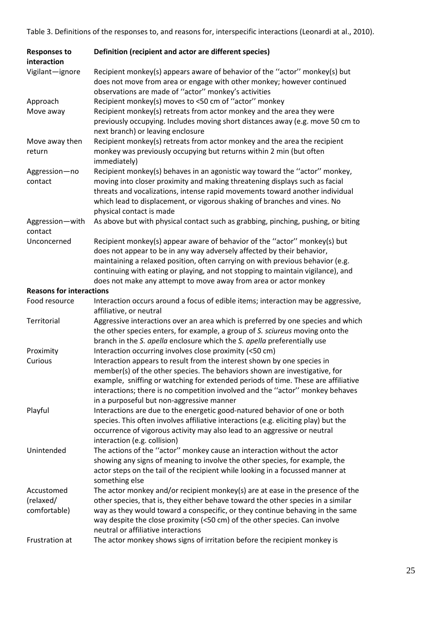Table 3. Definitions of the responses to, and reasons for, interspecific interactions (Leonardi at al., 2010).

| <b>Responses to</b><br>interaction | Definition (recipient and actor are different species)                                                                                                                                                                                                                                                                                                                   |  |  |  |
|------------------------------------|--------------------------------------------------------------------------------------------------------------------------------------------------------------------------------------------------------------------------------------------------------------------------------------------------------------------------------------------------------------------------|--|--|--|
| Vigilant-ignore                    | Recipient monkey(s) appears aware of behavior of the "actor" monkey(s) but<br>does not move from area or engage with other monkey; however continued<br>observations are made of "actor" monkey's activities                                                                                                                                                             |  |  |  |
| Approach                           | Recipient monkey(s) moves to <50 cm of "actor" monkey                                                                                                                                                                                                                                                                                                                    |  |  |  |
| Move away                          | Recipient monkey(s) retreats from actor monkey and the area they were<br>previously occupying. Includes moving short distances away (e.g. move 50 cm to<br>next branch) or leaving enclosure                                                                                                                                                                             |  |  |  |
| Move away then<br>return           | Recipient monkey(s) retreats from actor monkey and the area the recipient<br>monkey was previously occupying but returns within 2 min (but often<br>immediately)                                                                                                                                                                                                         |  |  |  |
| Aggression-no<br>contact           | Recipient monkey(s) behaves in an agonistic way toward the "actor" monkey,<br>moving into closer proximity and making threatening displays such as facial<br>threats and vocalizations, intense rapid movements toward another individual<br>which lead to displacement, or vigorous shaking of branches and vines. No<br>physical contact is made                       |  |  |  |
| Aggression-with<br>contact         | As above but with physical contact such as grabbing, pinching, pushing, or biting                                                                                                                                                                                                                                                                                        |  |  |  |
| Unconcerned                        | Recipient monkey(s) appear aware of behavior of the "actor" monkey(s) but                                                                                                                                                                                                                                                                                                |  |  |  |
|                                    | does not appear to be in any way adversely affected by their behavior,                                                                                                                                                                                                                                                                                                   |  |  |  |
|                                    | maintaining a relaxed position, often carrying on with previous behavior (e.g.                                                                                                                                                                                                                                                                                           |  |  |  |
|                                    | continuing with eating or playing, and not stopping to maintain vigilance), and                                                                                                                                                                                                                                                                                          |  |  |  |
|                                    | does not make any attempt to move away from area or actor monkey                                                                                                                                                                                                                                                                                                         |  |  |  |
| <b>Reasons for interactions</b>    |                                                                                                                                                                                                                                                                                                                                                                          |  |  |  |
| Food resource                      | Interaction occurs around a focus of edible items; interaction may be aggressive,<br>affiliative, or neutral                                                                                                                                                                                                                                                             |  |  |  |
| Territorial                        | Aggressive interactions over an area which is preferred by one species and which<br>the other species enters, for example, a group of S. sciureus moving onto the<br>branch in the S. apella enclosure which the S. apella preferentially use                                                                                                                            |  |  |  |
| Proximity                          | Interaction occurring involves close proximity (<50 cm)                                                                                                                                                                                                                                                                                                                  |  |  |  |
| Curious                            | Interaction appears to result from the interest shown by one species in<br>member(s) of the other species. The behaviors shown are investigative, for<br>example, sniffing or watching for extended periods of time. These are affiliative<br>interactions; there is no competition involved and the "actor" monkey behaves<br>in a purposeful but non-aggressive manner |  |  |  |
| Playful                            | Interactions are due to the energetic good-natured behavior of one or both<br>species. This often involves affiliative interactions (e.g. eliciting play) but the<br>occurrence of vigorous activity may also lead to an aggressive or neutral<br>interaction (e.g. collision)                                                                                           |  |  |  |
| Unintended                         | The actions of the "actor" monkey cause an interaction without the actor                                                                                                                                                                                                                                                                                                 |  |  |  |
|                                    | showing any signs of meaning to involve the other species, for example, the<br>actor steps on the tail of the recipient while looking in a focussed manner at<br>something else                                                                                                                                                                                          |  |  |  |
| Accustomed                         | The actor monkey and/or recipient monkey(s) are at ease in the presence of the                                                                                                                                                                                                                                                                                           |  |  |  |
| (relaxed/                          | other species, that is, they either behave toward the other species in a similar                                                                                                                                                                                                                                                                                         |  |  |  |
| comfortable)                       | way as they would toward a conspecific, or they continue behaving in the same<br>way despite the close proximity (<50 cm) of the other species. Can involve<br>neutral or affiliative interactions                                                                                                                                                                       |  |  |  |
| Frustration at                     | The actor monkey shows signs of irritation before the recipient monkey is                                                                                                                                                                                                                                                                                                |  |  |  |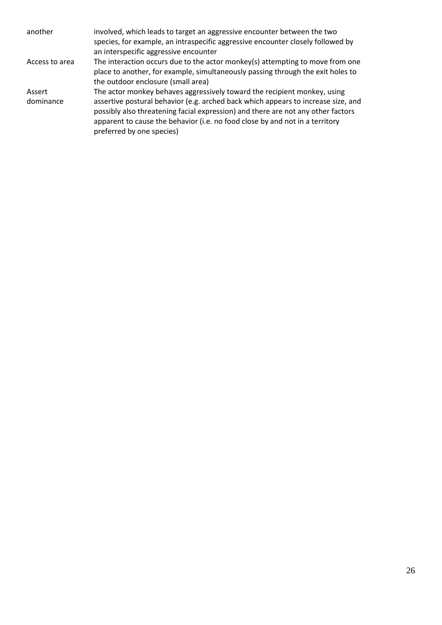| another             | involved, which leads to target an aggressive encounter between the two<br>species, for example, an intraspecific aggressive encounter closely followed by<br>an interspecific aggressive encounter                                                                                                                                                            |
|---------------------|----------------------------------------------------------------------------------------------------------------------------------------------------------------------------------------------------------------------------------------------------------------------------------------------------------------------------------------------------------------|
| Access to area      | The interaction occurs due to the actor monkey(s) attempting to move from one<br>place to another, for example, simultaneously passing through the exit holes to<br>the outdoor enclosure (small area)                                                                                                                                                         |
| Assert<br>dominance | The actor monkey behaves aggressively toward the recipient monkey, using<br>assertive postural behavior (e.g. arched back which appears to increase size, and<br>possibly also threatening facial expression) and there are not any other factors<br>apparent to cause the behavior (i.e. no food close by and not in a territory<br>preferred by one species) |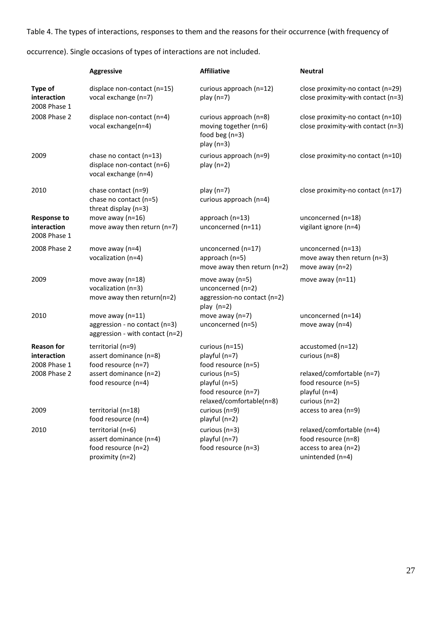Table 4. The types of interactions, responses to them and the reasons for their occurrence (with frequency of

occurrence). Single occasions of types of interactions are not included.

|                                                                  | <b>Aggressive</b>                                                                                                   | <b>Affiliative</b>                                                                                                                              | <b>Neutral</b>                                                                                                             |
|------------------------------------------------------------------|---------------------------------------------------------------------------------------------------------------------|-------------------------------------------------------------------------------------------------------------------------------------------------|----------------------------------------------------------------------------------------------------------------------------|
| Type of<br>interaction<br>2008 Phase 1                           | displace non-contact (n=15)<br>vocal exchange (n=7)                                                                 | curious approach (n=12)<br>play $(n=7)$                                                                                                         | close proximity-no contact (n=29)<br>close proximity-with contact (n=3)                                                    |
| 2008 Phase 2                                                     | displace non-contact (n=4)<br>vocal exchange(n=4)                                                                   | curious approach (n=8)<br>moving together (n=6)<br>food beg $(n=3)$<br>$play(n=3)$                                                              | close proximity-no contact (n=10)<br>close proximity-with contact (n=3)                                                    |
| 2009                                                             | chase no contact (n=13)<br>displace non-contact (n=6)<br>vocal exchange (n=4)                                       | curious approach (n=9)<br>play $(n=2)$                                                                                                          | close proximity-no contact (n=10)                                                                                          |
| 2010                                                             | chase contact (n=9)<br>chase no contact (n=5)<br>threat display (n=3)                                               | play $(n=7)$<br>curious approach (n=4)                                                                                                          | close proximity-no contact (n=17)                                                                                          |
| <b>Response to</b><br>interaction<br>2008 Phase 1                | move away ( $n=16$ )<br>move away then return (n=7)                                                                 | approach (n=13)<br>unconcerned (n=11)                                                                                                           | unconcerned (n=18)<br>vigilant ignore (n=4)                                                                                |
| 2008 Phase 2                                                     | move away (n=4)<br>vocalization (n=4)                                                                               | unconcerned (n=17)<br>approach (n=5)<br>move away then return ( $n=2$ )                                                                         | unconcerned (n=13)<br>move away then return (n=3)<br>move away $(n=2)$                                                     |
| 2009                                                             | move away ( $n=18$ )<br>vocalization (n=3)<br>move away then return(n=2)                                            | move away $(n=5)$<br>unconcerned (n=2)<br>aggression-no contact (n=2)<br>play $(n=2)$                                                           | move away $(n=11)$                                                                                                         |
| 2010                                                             | move away $(n=11)$<br>aggression - no contact (n=3)<br>aggression - with contact (n=2)                              | move away $(n=7)$<br>unconcerned (n=5)                                                                                                          | unconcerned (n=14)<br>move away $(n=4)$                                                                                    |
| <b>Reason for</b><br>interaction<br>2008 Phase 1<br>2008 Phase 2 | territorial (n=9)<br>assert dominance (n=8)<br>food resource (n=7)<br>assert dominance (n=2)<br>food resource (n=4) | curious ( $n=15$ )<br>playful (n=7)<br>food resource (n=5)<br>curious (n=5)<br>playful (n=5)<br>food resource (n=7)<br>relaxed/comfortable(n=8) | accustomed (n=12)<br>curious (n=8)<br>relaxed/comfortable (n=7)<br>food resource (n=5)<br>playful (n=4)<br>curious $(n=2)$ |
| 2009                                                             | territorial (n=18)<br>food resource (n=4)                                                                           | curious (n=9)<br>playful (n=2)                                                                                                                  | access to area (n=9)                                                                                                       |
| 2010                                                             | territorial (n=6)<br>assert dominance (n=4)<br>food resource (n=2)<br>proximity (n=2)                               | curious ( $n=3$ )<br>playful (n=7)<br>food resource (n=3)                                                                                       | relaxed/comfortable (n=4)<br>food resource (n=8)<br>access to area (n=2)<br>unintended (n=4)                               |